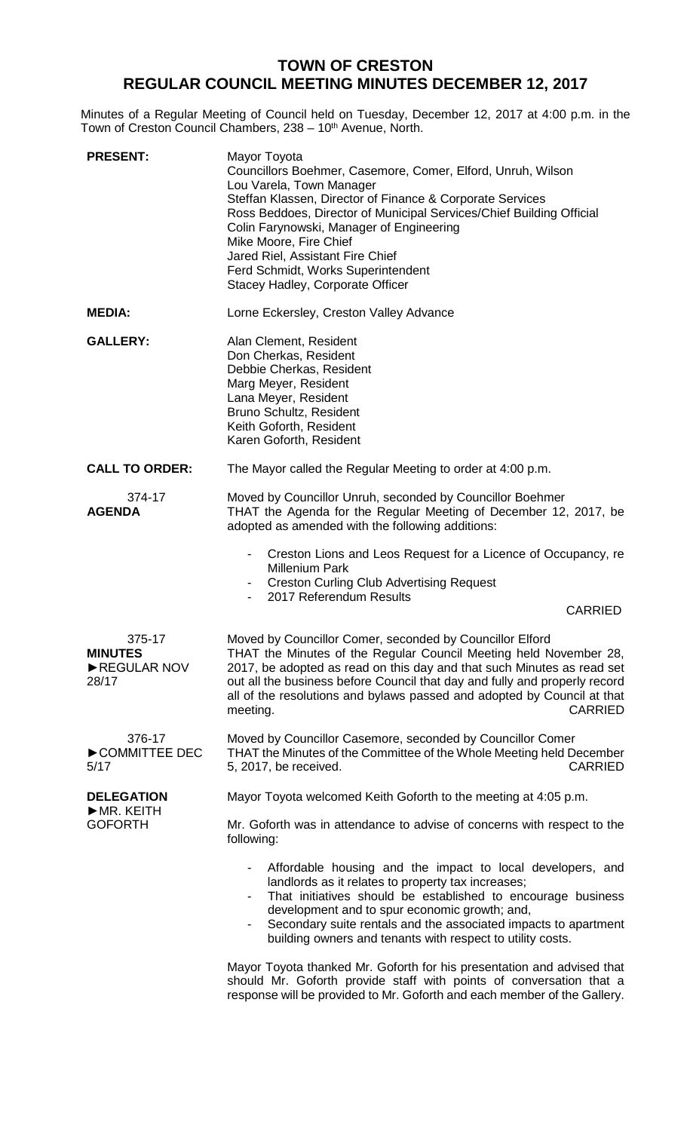## **TOWN OF CRESTON REGULAR COUNCIL MEETING MINUTES DECEMBER 12, 2017**

Minutes of a Regular Meeting of Council held on Tuesday, December 12, 2017 at 4:00 p.m. in the Town of Creston Council Chambers, 238 – 10<sup>th</sup> Avenue, North.

| <b>PRESENT:</b>                                  | Mayor Toyota<br>Councillors Boehmer, Casemore, Comer, Elford, Unruh, Wilson<br>Lou Varela, Town Manager<br>Steffan Klassen, Director of Finance & Corporate Services<br>Ross Beddoes, Director of Municipal Services/Chief Building Official<br>Colin Farynowski, Manager of Engineering<br>Mike Moore, Fire Chief<br>Jared Riel, Assistant Fire Chief<br>Ferd Schmidt, Works Superintendent<br>Stacey Hadley, Corporate Officer |
|--------------------------------------------------|----------------------------------------------------------------------------------------------------------------------------------------------------------------------------------------------------------------------------------------------------------------------------------------------------------------------------------------------------------------------------------------------------------------------------------|
| <b>MEDIA:</b>                                    | Lorne Eckersley, Creston Valley Advance                                                                                                                                                                                                                                                                                                                                                                                          |
| <b>GALLERY:</b>                                  | Alan Clement, Resident<br>Don Cherkas, Resident<br>Debbie Cherkas, Resident<br>Marg Meyer, Resident<br>Lana Meyer, Resident<br>Bruno Schultz, Resident<br>Keith Goforth, Resident<br>Karen Goforth, Resident                                                                                                                                                                                                                     |
| <b>CALL TO ORDER:</b>                            | The Mayor called the Regular Meeting to order at 4:00 p.m.                                                                                                                                                                                                                                                                                                                                                                       |
| 374-17<br><b>AGENDA</b>                          | Moved by Councillor Unruh, seconded by Councillor Boehmer<br>THAT the Agenda for the Regular Meeting of December 12, 2017, be<br>adopted as amended with the following additions:                                                                                                                                                                                                                                                |
|                                                  | Creston Lions and Leos Request for a Licence of Occupancy, re<br>$\overline{\phantom{0}}$<br><b>Millenium Park</b><br><b>Creston Curling Club Advertising Request</b><br>Ξ.<br>2017 Referendum Results<br><b>CARRIED</b>                                                                                                                                                                                                         |
| 375-17<br><b>MINUTES</b><br>REGULAR NOV<br>28/17 | Moved by Councillor Comer, seconded by Councillor Elford<br>THAT the Minutes of the Regular Council Meeting held November 28,<br>2017, be adopted as read on this day and that such Minutes as read set<br>out all the business before Council that day and fully and properly record<br>all of the resolutions and bylaws passed and adopted by Council at that<br>meeting.<br><b>CARRIED</b>                                   |
| 376-17<br>COMMITTEE DEC<br>5/17                  | Moved by Councillor Casemore, seconded by Councillor Comer<br>THAT the Minutes of the Committee of the Whole Meeting held December<br><b>CARRIED</b><br>5, 2017, be received.                                                                                                                                                                                                                                                    |
| <b>DELEGATION</b><br>MR. KEITH<br><b>GOFORTH</b> | Mayor Toyota welcomed Keith Goforth to the meeting at 4:05 p.m.                                                                                                                                                                                                                                                                                                                                                                  |
|                                                  | Mr. Goforth was in attendance to advise of concerns with respect to the<br>following:                                                                                                                                                                                                                                                                                                                                            |
|                                                  | Affordable housing and the impact to local developers, and<br>landlords as it relates to property tax increases;<br>That initiatives should be established to encourage business<br>development and to spur economic growth; and,<br>Secondary suite rentals and the associated impacts to apartment<br>building owners and tenants with respect to utility costs.                                                               |
|                                                  | Mayor Toyota thanked Mr. Goforth for his presentation and advised that<br>should Mr. Goforth provide staff with points of conversation that a<br>response will be provided to Mr. Goforth and each member of the Gallery.                                                                                                                                                                                                        |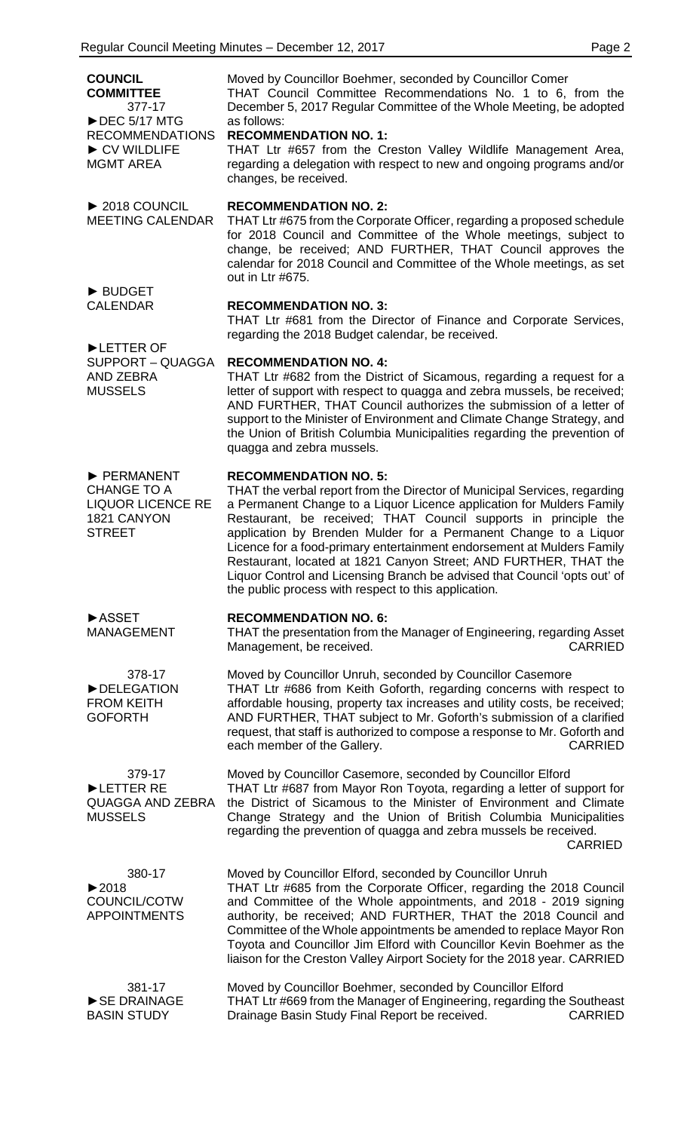| <b>COUNCIL</b><br><b>COMMITTEE</b><br>377-17<br>$\triangleright$ DEC 5/17 MTG<br><b>RECOMMENDATIONS</b><br>CV WILDLIFE<br><b>MGMT AREA</b> | Moved by Councillor Boehmer, seconded by Councillor Comer<br>THAT Council Committee Recommendations No. 1 to 6, from the<br>December 5, 2017 Regular Committee of the Whole Meeting, be adopted<br>as follows:<br><b>RECOMMENDATION NO. 1:</b><br>THAT Ltr #657 from the Creston Valley Wildlife Management Area,<br>regarding a delegation with respect to new and ongoing programs and/or<br>changes, be received.                                                                                                                                                                                         |
|--------------------------------------------------------------------------------------------------------------------------------------------|--------------------------------------------------------------------------------------------------------------------------------------------------------------------------------------------------------------------------------------------------------------------------------------------------------------------------------------------------------------------------------------------------------------------------------------------------------------------------------------------------------------------------------------------------------------------------------------------------------------|
| $\triangleright$ 2018 COUNCIL<br><b>MEETING CALENDAR</b>                                                                                   | <b>RECOMMENDATION NO. 2:</b><br>THAT Ltr #675 from the Corporate Officer, regarding a proposed schedule<br>for 2018 Council and Committee of the Whole meetings, subject to<br>change, be received; AND FURTHER, THAT Council approves the<br>calendar for 2018 Council and Committee of the Whole meetings, as set<br>out in Ltr #675.                                                                                                                                                                                                                                                                      |
| <b>DEBUDGET</b><br><b>CALENDAR</b>                                                                                                         | <b>RECOMMENDATION NO. 3:</b><br>THAT Ltr #681 from the Director of Finance and Corporate Services,<br>regarding the 2018 Budget calendar, be received.                                                                                                                                                                                                                                                                                                                                                                                                                                                       |
| LETTER OF<br>SUPPORT - QUAGGA<br><b>AND ZEBRA</b><br><b>MUSSELS</b>                                                                        | <b>RECOMMENDATION NO. 4:</b><br>THAT Ltr #682 from the District of Sicamous, regarding a request for a<br>letter of support with respect to quagga and zebra mussels, be received;<br>AND FURTHER, THAT Council authorizes the submission of a letter of<br>support to the Minister of Environment and Climate Change Strategy, and<br>the Union of British Columbia Municipalities regarding the prevention of<br>quagga and zebra mussels.                                                                                                                                                                 |
| PERMANENT<br><b>CHANGE TO A</b><br><b>LIQUOR LICENCE RE</b><br>1821 CANYON<br><b>STREET</b>                                                | <b>RECOMMENDATION NO. 5:</b><br>THAT the verbal report from the Director of Municipal Services, regarding<br>a Permanent Change to a Liquor Licence application for Mulders Family<br>Restaurant, be received; THAT Council supports in principle the<br>application by Brenden Mulder for a Permanent Change to a Liquor<br>Licence for a food-primary entertainment endorsement at Mulders Family<br>Restaurant, located at 1821 Canyon Street; AND FURTHER, THAT the<br>Liquor Control and Licensing Branch be advised that Council 'opts out' of<br>the public process with respect to this application. |
| <b>ASSET</b><br><b>MANAGEMENT</b>                                                                                                          | <b>RECOMMENDATION NO. 6:</b><br>THAT the presentation from the Manager of Engineering, regarding Asset<br>Management, be received.<br><b>CARRIED</b>                                                                                                                                                                                                                                                                                                                                                                                                                                                         |
| 378-17<br>DELEGATION<br><b>FROM KEITH</b><br><b>GOFORTH</b>                                                                                | Moved by Councillor Unruh, seconded by Councillor Casemore<br>THAT Ltr #686 from Keith Goforth, regarding concerns with respect to<br>affordable housing, property tax increases and utility costs, be received;<br>AND FURTHER, THAT subject to Mr. Goforth's submission of a clarified<br>request, that staff is authorized to compose a response to Mr. Goforth and<br>each member of the Gallery.<br><b>CARRIED</b>                                                                                                                                                                                      |
| 379-17<br>LETTER RE<br><b>QUAGGA AND ZEBRA</b><br><b>MUSSELS</b>                                                                           | Moved by Councillor Casemore, seconded by Councillor Elford<br>THAT Ltr #687 from Mayor Ron Toyota, regarding a letter of support for<br>the District of Sicamous to the Minister of Environment and Climate<br>Change Strategy and the Union of British Columbia Municipalities<br>regarding the prevention of quagga and zebra mussels be received.<br><b>CARRIED</b>                                                                                                                                                                                                                                      |
| 380-17<br>$\blacktriangleright$ 2018<br>COUNCIL/COTW<br><b>APPOINTMENTS</b>                                                                | Moved by Councillor Elford, seconded by Councillor Unruh<br>THAT Ltr #685 from the Corporate Officer, regarding the 2018 Council<br>and Committee of the Whole appointments, and 2018 - 2019 signing<br>authority, be received; AND FURTHER, THAT the 2018 Council and<br>Committee of the Whole appointments be amended to replace Mayor Ron<br>Toyota and Councillor Jim Elford with Councillor Kevin Boehmer as the<br>liaison for the Creston Valley Airport Society for the 2018 year. CARRIED                                                                                                          |
| 381-17<br>SE DRAINAGE<br><b>BASIN STUDY</b>                                                                                                | Moved by Councillor Boehmer, seconded by Councillor Elford<br>THAT Ltr #669 from the Manager of Engineering, regarding the Southeast<br>Drainage Basin Study Final Report be received.<br><b>CARRIED</b>                                                                                                                                                                                                                                                                                                                                                                                                     |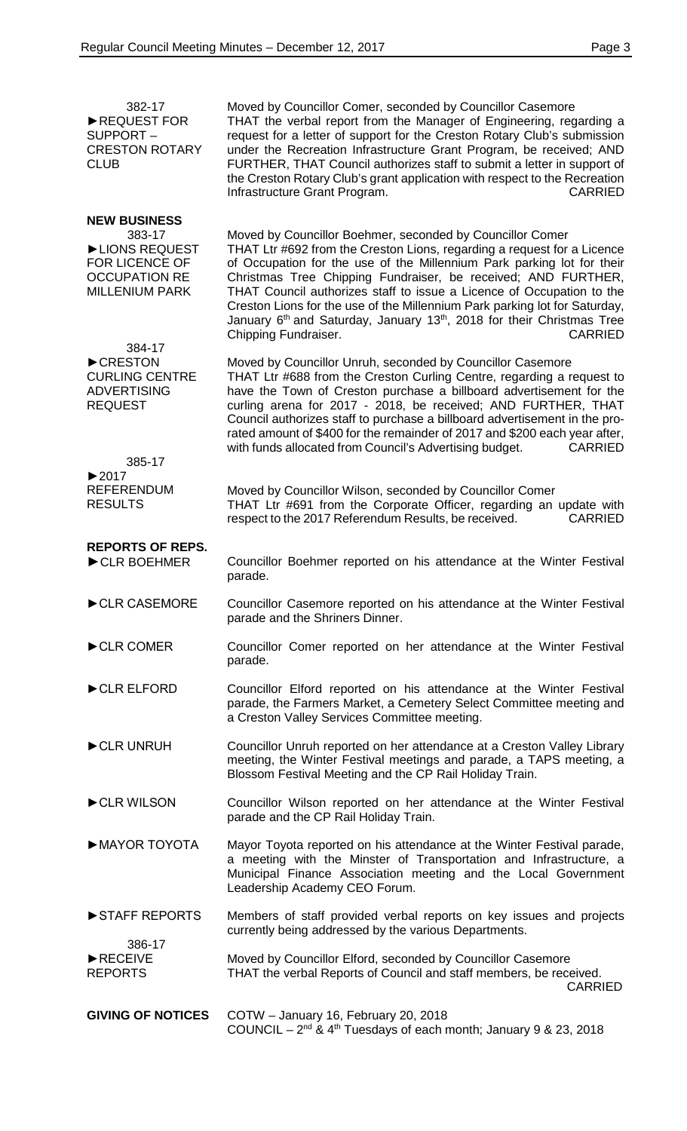| 382-17<br>REQUEST FOR<br>SUPPORT-<br><b>CRESTON ROTARY</b><br><b>CLUB</b>               | Moved by Councillor Comer, seconded by Councillor Casemore<br>THAT the verbal report from the Manager of Engineering, regarding a<br>request for a letter of support for the Creston Rotary Club's submission<br>under the Recreation Infrastructure Grant Program, be received; AND<br>FURTHER, THAT Council authorizes staff to submit a letter in support of<br>the Creston Rotary Club's grant application with respect to the Recreation<br>Infrastructure Grant Program.<br><b>CARRIED</b>                      |
|-----------------------------------------------------------------------------------------|-----------------------------------------------------------------------------------------------------------------------------------------------------------------------------------------------------------------------------------------------------------------------------------------------------------------------------------------------------------------------------------------------------------------------------------------------------------------------------------------------------------------------|
| <b>NEW BUSINESS</b><br>383-17                                                           | Moved by Councillor Boehmer, seconded by Councillor Comer                                                                                                                                                                                                                                                                                                                                                                                                                                                             |
| LIONS REQUEST<br><b>FOR LICENCE OF</b><br><b>OCCUPATION RE</b><br><b>MILLENIUM PARK</b> | THAT Ltr #692 from the Creston Lions, regarding a request for a Licence<br>of Occupation for the use of the Millennium Park parking lot for their<br>Christmas Tree Chipping Fundraiser, be received; AND FURTHER,<br>THAT Council authorizes staff to issue a Licence of Occupation to the<br>Creston Lions for the use of the Millennium Park parking lot for Saturday,<br>January 6 <sup>th</sup> and Saturday, January 13 <sup>th</sup> , 2018 for their Christmas Tree<br>Chipping Fundraiser.<br><b>CARRIED</b> |
| 384-17<br>CRESTON                                                                       | Moved by Councillor Unruh, seconded by Councillor Casemore                                                                                                                                                                                                                                                                                                                                                                                                                                                            |
| <b>CURLING CENTRE</b><br><b>ADVERTISING</b><br><b>REQUEST</b>                           | THAT Ltr #688 from the Creston Curling Centre, regarding a request to<br>have the Town of Creston purchase a billboard advertisement for the<br>curling arena for 2017 - 2018, be received; AND FURTHER, THAT<br>Council authorizes staff to purchase a billboard advertisement in the pro-<br>rated amount of \$400 for the remainder of 2017 and \$200 each year after,<br>with funds allocated from Council's Advertising budget.<br><b>CARRIED</b>                                                                |
| 385-17<br>$\blacktriangleright$ 2017                                                    |                                                                                                                                                                                                                                                                                                                                                                                                                                                                                                                       |
| <b>REFERENDUM</b><br><b>RESULTS</b>                                                     | Moved by Councillor Wilson, seconded by Councillor Comer<br>THAT Ltr #691 from the Corporate Officer, regarding an update with<br>respect to the 2017 Referendum Results, be received.<br><b>CARRIED</b>                                                                                                                                                                                                                                                                                                              |
| <b>REPORTS OF REPS.</b><br>CLR BOEHMER                                                  | Councillor Boehmer reported on his attendance at the Winter Festival<br>parade.                                                                                                                                                                                                                                                                                                                                                                                                                                       |
| $\blacktriangleright$ CLR CASEMORE                                                      | Councillor Casemore reported on his attendance at the Winter Festival<br>parade and the Shriners Dinner.                                                                                                                                                                                                                                                                                                                                                                                                              |
| CLR COMER                                                                               | Councillor Comer reported on her attendance at the Winter Festival<br>parade.                                                                                                                                                                                                                                                                                                                                                                                                                                         |
| CLR ELFORD                                                                              | Councillor Elford reported on his attendance at the Winter Festival<br>parade, the Farmers Market, a Cemetery Select Committee meeting and<br>a Creston Valley Services Committee meeting.                                                                                                                                                                                                                                                                                                                            |
| CLR UNRUH                                                                               | Councillor Unruh reported on her attendance at a Creston Valley Library<br>meeting, the Winter Festival meetings and parade, a TAPS meeting, a<br>Blossom Festival Meeting and the CP Rail Holiday Train.                                                                                                                                                                                                                                                                                                             |
| CLR WILSON                                                                              | Councillor Wilson reported on her attendance at the Winter Festival<br>parade and the CP Rail Holiday Train.                                                                                                                                                                                                                                                                                                                                                                                                          |
| MAYOR TOYOTA                                                                            | Mayor Toyota reported on his attendance at the Winter Festival parade,<br>a meeting with the Minster of Transportation and Infrastructure, a<br>Municipal Finance Association meeting and the Local Government<br>Leadership Academy CEO Forum.                                                                                                                                                                                                                                                                       |
| STAFF REPORTS                                                                           | Members of staff provided verbal reports on key issues and projects<br>currently being addressed by the various Departments.                                                                                                                                                                                                                                                                                                                                                                                          |
| 386-17<br>RECEIVE<br><b>REPORTS</b>                                                     | Moved by Councillor Elford, seconded by Councillor Casemore<br>THAT the verbal Reports of Council and staff members, be received.<br><b>CARRIED</b>                                                                                                                                                                                                                                                                                                                                                                   |
| <b>GIVING OF NOTICES</b>                                                                | COTW - January 16, February 20, 2018<br>COUNCIL - $2^{nd}$ & $4^{th}$ Tuesdays of each month; January 9 & 23, 2018                                                                                                                                                                                                                                                                                                                                                                                                    |